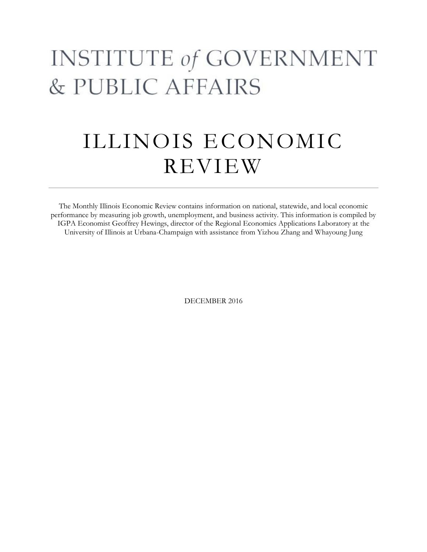# **INSTITUTE of GOVERNMENT** & PUBLIC AFFAIRS

# ILLINOIS ECONOMIC REVIEW

The Monthly Illinois Economic Review contains information on national, statewide, and local economic performance by measuring job growth, unemployment, and business activity. This information is compiled by IGPA Economist Geoffrey Hewings, director of the Regional Economics Applications Laboratory at the University of Illinois at Urbana-Champaign with assistance from Yizhou Zhang and Whayoung Jung

DECEMBER 2016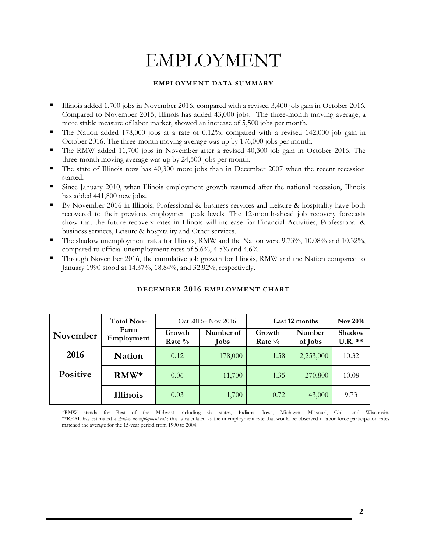## EMPLOYMENT

#### **EMPLOYMENT DATA SUMMARY**

- Illinois added 1,700 jobs in November 2016, compared with a revised 3,400 job gain in October 2016. Compared to November 2015, Illinois has added 43,000 jobs. The three-month moving average, a more stable measure of labor market, showed an increase of 5,500 jobs per month.
- The Nation added 178,000 jobs at a rate of  $0.12\%$ , compared with a revised 142,000 job gain in October 2016. The three-month moving average was up by 176,000 jobs per month.
- The RMW added 11,700 jobs in November after a revised 40,300 job gain in October 2016. The three-month moving average was up by 24,500 jobs per month.
- The state of Illinois now has 40,300 more jobs than in December 2007 when the recent recession started.
- Since January 2010, when Illinois employment growth resumed after the national recession, Illinois has added 441,800 new jobs.
- By November 2016 in Illinois, Professional & business services and Leisure & hospitality have both recovered to their previous employment peak levels. The 12-month-ahead job recovery forecasts show that the future recovery rates in Illinois will increase for Financial Activities, Professional & business services, Leisure & hospitality and Other services.
- The shadow unemployment rates for Illinois, RMW and the Nation were 9.73%, 10.08% and 10.32%, compared to official unemployment rates of 5.6%, 4.5% and 4.6%.
- Through November 2016, the cumulative job growth for Illinois, RMW and the Nation compared to January 1990 stood at 14.37%, 18.84%, and 32.92%, respectively.

|                 | <b>Total Non-</b>  | Oct 2016– Nov 2016  |                   | Last 12 months   |                   | <b>Nov 2016</b>     |
|-----------------|--------------------|---------------------|-------------------|------------------|-------------------|---------------------|
| November        | Farm<br>Employment | Growth<br>Rate $\%$ | Number of<br>Jobs | Growth<br>Rate % | Number<br>of Jobs | Shadow<br>$U.R.$ ** |
| 2016            | <b>Nation</b>      | 0.12                | 178,000           | 1.58             | 2,253,000         | 10.32               |
| <b>Positive</b> | $RMW*$             | 0.06                | 11,700            | 1.35             | 270,800           | 10.08               |
|                 | <b>Illinois</b>    | 0.03                | 1,700             | 0.72             | 43,000            | 9.73                |

### **DECEMBER 2016 EMPLOYMENT CHART**

\*RMW stands for Rest of the Midwest including six states, Indiana, Iowa, Michigan, Missouri, Ohio and Wisconsin. \*\*REAL has estimated a *shadow unemployment rate*; this is calculated as the unemployment rate that would be observed if labor force participation rates matched the average for the 15-year period from 1990 to 2004.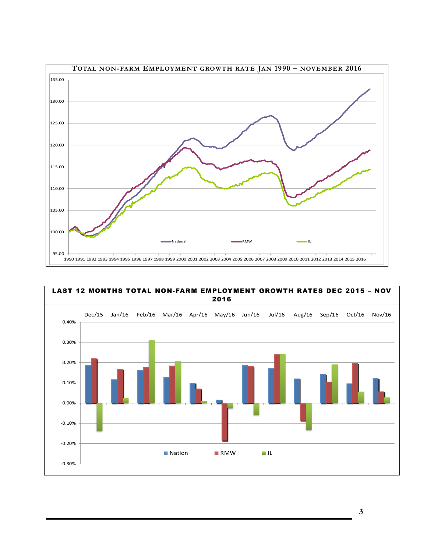



**3**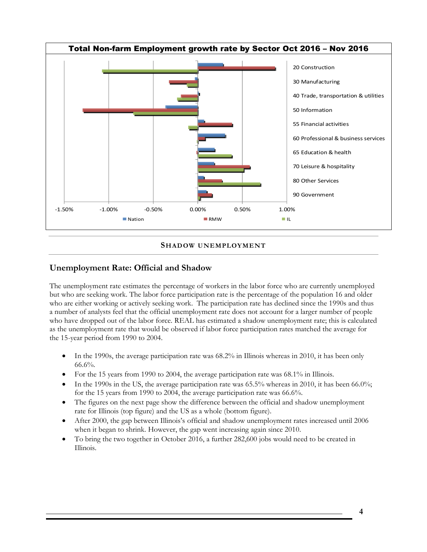

#### **SHADOW UNEMPLOYMENT**

### **Unemployment Rate: Official and Shadow**

The unemployment rate estimates the percentage of workers in the labor force who are currently unemployed but who are seeking work. The labor force participation rate is the percentage of the population 16 and older who are either working or actively seeking work. The participation rate has declined since the 1990s and thus a number of analysts feel that the official unemployment rate does not account for a larger number of people who have dropped out of the labor force. REAL has estimated a shadow unemployment rate; this is calculated as the unemployment rate that would be observed if labor force participation rates matched the average for the 15-year period from 1990 to 2004.

- In the 1990s, the average participation rate was 68.2% in Illinois whereas in 2010, it has been only  $66.6\%$ .
- For the 15 years from 1990 to 2004, the average participation rate was 68.1% in Illinois.
- In the 1990s in the US, the average participation rate was 65.5% whereas in 2010, it has been 66.0%; for the 15 years from 1990 to 2004, the average participation rate was 66.6%.
- The figures on the next page show the difference between the official and shadow unemployment rate for Illinois (top figure) and the US as a whole (bottom figure).
- After 2000, the gap between Illinois's official and shadow unemployment rates increased until 2006 when it began to shrink. However, the gap went increasing again since 2010.
- To bring the two together in October 2016, a further 282,600 jobs would need to be created in Illinois.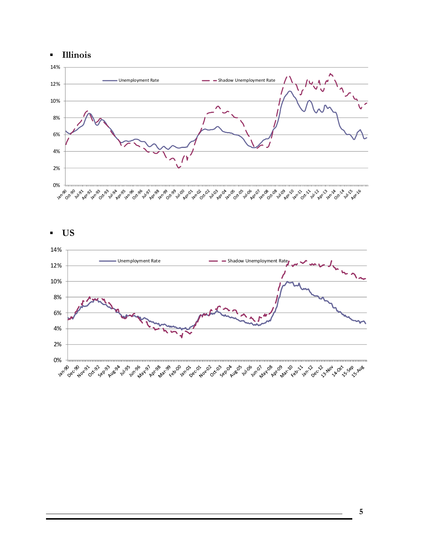



▪ **US**



**5**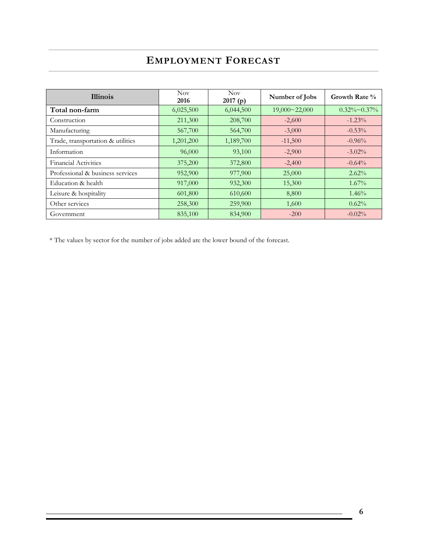## **EMPLOYMENT FORECAST**

| <b>Illinois</b>                   | <b>Nov</b><br>2016 | Nov.<br>2017(p) | Number of Jobs       | Growth Rate %        |
|-----------------------------------|--------------------|-----------------|----------------------|----------------------|
| Total non-farm                    | 6,025,500          | 6,044,500       | $19,000 \sim 22,000$ | $0.32\% \sim 0.37\%$ |
| Construction                      | 211,300            | 208,700         | $-2,600$             | $-1.23%$             |
| Manufacturing                     | 567,700            | 564,700         | $-3,000$             | $-0.53%$             |
| Trade, transportation & utilities | 1,201,200          | 1,189,700       | $-11,500$            | $-0.96%$             |
| Information                       | 96,000             | 93,100          | $-2,900$             | $-3.02\%$            |
| <b>Financial Activities</b>       | 375,200            | 372,800         | $-2,400$             | $-0.64%$             |
| Professional & business services  | 952,900            | 977,900         | 25,000               | $2.62\%$             |
| Education & health                | 917,000            | 932,300         | 15,300               | $1.67\%$             |
| Leisure & hospitality             | 601,800            | 610,600         | 8,800                | 1.46%                |
| Other services                    | 258,300            | 259,900         | 1,600                | 0.62%                |
| Government                        | 835,100            | 834,900         | $-200$               | $-0.02%$             |

\* The values by sector for the number of jobs added are the lower bound of the forecast.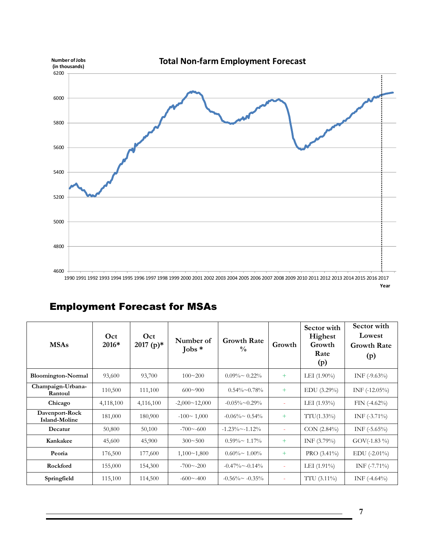

## Employment Forecast for MSAs

| <b>MSAs</b>                     | Oct<br>2016* | Oct<br>2017 (p)* | Number of<br>Jobs $*$ | <b>Growth Rate</b><br>$\frac{0}{0}$ | Growth | Sector with<br>Highest<br>Growth<br>Rate<br>(p) | Sector with<br>Lowest<br><b>Growth Rate</b><br>(p) |
|---------------------------------|--------------|------------------|-----------------------|-------------------------------------|--------|-------------------------------------------------|----------------------------------------------------|
| <b>Bloomington-Normal</b>       | 93,600       | 93,700           | $100 \sim 200$        | $0.09\% \sim 0.22\%$                | $+$    | LEI $(1.90\%)$                                  | INF $(-9.63\%)$                                    |
| Champaign-Urbana-<br>Rantoul    | 110,500      | 111,100          | $600 \sim 900$        | $0.54\% \sim 0.78\%$                | $+$    | $EDU$ (3.29%)                                   | $INF$ (-12.05%)                                    |
| Chicago                         | 4,118,100    | 4,116,100        | $-2,000 \sim 12,000$  | $-0.05\% \sim 0.29\%$               | ÷      | LEI $(1.93\%)$                                  | $FIN (-4.62%)$                                     |
| Davenport-Rock<br>Island-Moline | 181,000      | 180,900          | $-100 \sim 1,000$     | $-0.06\% \approx 0.54\%$            | $+$    | $TTU(1.33\%)$                                   | $INF$ (-3.71%)                                     |
| Decatur                         | 50,800       | 50,100           | $-700 \sim -600$      | $-1.23\% \sim -1.12\%$              | $\sim$ | CON (2.84%)                                     | INF $(-5.65\%)$                                    |
| Kankakee                        | 45,600       | 45,900           | $300 \sim 500$        | $0.59\% \sim 1.17\%$                | $+$    | INF $(3.79\%)$                                  | $GOV(-1.83\%)$                                     |
| Peoria                          | 176,500      | 177,600          | $1,100 \sim 1,800$    | $0.60\% \sim 1.00\%$                | $+$    | PRO $(3.41\%)$                                  | $EDU$ (-2.01%)                                     |
| Rockford                        | 155,000      | 154,300          | $-700 \sim -200$      | $-0.47\%$ ~ $-0.14\%$               | ٠      | LEI $(1.91\%)$                                  | INF $(-7.71\%)$                                    |
| Springfield                     | 115,100      | 114,500          | $-600 \sim -400$      | $-0.56\% \sim -0.35\%$              |        | $TTU(3.11\%)$                                   | INF $(-4.64\%)$                                    |

**7**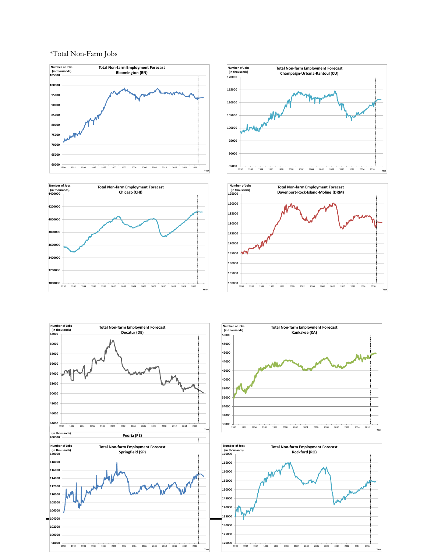#### \*Total Non-Farm Jobs













**Year**

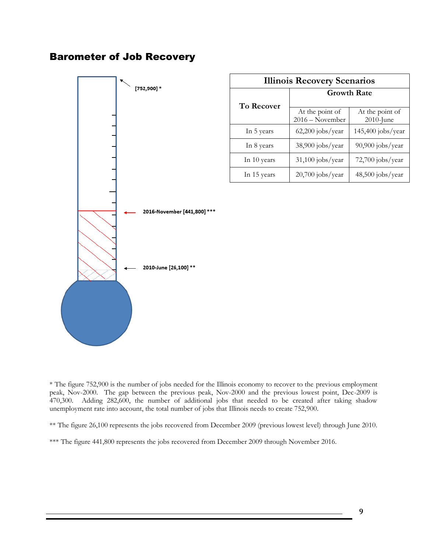## Barometer of Job Recovery



| <b>Illinois Recovery Scenarios</b> |                                    |                                 |  |  |  |
|------------------------------------|------------------------------------|---------------------------------|--|--|--|
| To Recover                         | <b>Growth Rate</b>                 |                                 |  |  |  |
|                                    | At the point of<br>2016 - November | At the point of<br>$2010$ -June |  |  |  |
| In 5 years                         | $62,200$ jobs/year                 | $145,400$ jobs/year             |  |  |  |
| In 8 years                         | $38,900$ jobs/year                 | 90,900 jobs/year                |  |  |  |
| In 10 years                        | $31,100$ jobs/year                 | 72,700 jobs/year                |  |  |  |
| In 15 years                        | $20,700$ jobs/year                 | 48,500 jobs/year                |  |  |  |

\* The figure 752,900 is the number of jobs needed for the Illinois economy to recover to the previous employment peak, Nov-2000. The gap between the previous peak, Nov-2000 and the previous lowest point, Dec-2009 is 470,300. Adding 282,600, the number of additional jobs that needed to be created after taking shadow unemployment rate into account, the total number of jobs that Illinois needs to create 752,900.

\*\* The figure 26,100 represents the jobs recovered from December 2009 (previous lowest level) through June 2010.

\*\*\* The figure 441,800 represents the jobs recovered from December 2009 through November 2016.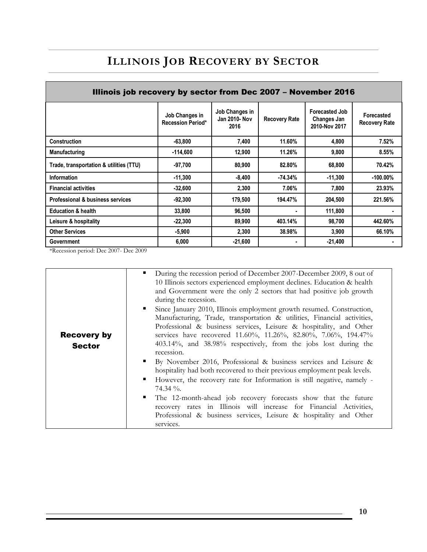## **ILLINOIS JOB RECOVERY BY SECTOR**

| Illinois job recovery by sector from Dec 2007 - November 2016 |                                            |                                         |                      |                                                       |                                    |  |  |
|---------------------------------------------------------------|--------------------------------------------|-----------------------------------------|----------------------|-------------------------------------------------------|------------------------------------|--|--|
|                                                               | Job Changes in<br><b>Recession Period*</b> | Job Changes in<br>Jan 2010- Nov<br>2016 | <b>Recovery Rate</b> | <b>Forecasted Job</b><br>Changes Jan<br>2010-Nov 2017 | Forecasted<br><b>Recovery Rate</b> |  |  |
| <b>Construction</b>                                           | $-63.800$                                  | 7,400                                   | 11.60%               | 4,800                                                 | 7.52%                              |  |  |
| <b>Manufacturing</b>                                          | $-114,600$                                 | 12,900                                  | 11.26%               | 9,800                                                 | 8.55%                              |  |  |
| Trade, transportation & utilities (TTU)                       | $-97,700$                                  | 80,900                                  | 82.80%               | 68,800                                                | 70.42%                             |  |  |
| <b>Information</b>                                            | $-11,300$                                  | $-8,400$                                | -74.34%              | -11,300                                               | $-100.00\%$                        |  |  |
| <b>Financial activities</b>                                   | $-32,600$                                  | 2,300                                   | 7.06%                | 7,800                                                 | 23.93%                             |  |  |
| Professional & business services                              | $-92,300$                                  | 179,500                                 | 194.47%              | 204,500                                               | 221.56%                            |  |  |
| <b>Education &amp; health</b>                                 | 33,800                                     | 96,500                                  |                      | 111,800                                               |                                    |  |  |
| Leisure & hospitality                                         | $-22.300$                                  | 89,900                                  | 403.14%              | 98,700                                                | 442.60%                            |  |  |
| <b>Other Services</b>                                         | $-5,900$                                   | 2,300                                   | 38.98%               | 3,900                                                 | 66.10%                             |  |  |
| Government                                                    | 6,000                                      | $-21,600$                               |                      | $-21,400$                                             |                                    |  |  |

\*Recession period: Dec 2007- Dec 2009

|                                     | During the recession period of December 2007-December 2009, 8 out of<br>$\blacksquare$<br>10 Illinois sectors experienced employment declines. Education & health<br>and Government were the only 2 sectors that had positive job growth<br>during the recession.                                                                                                                                                                                                                                        |
|-------------------------------------|----------------------------------------------------------------------------------------------------------------------------------------------------------------------------------------------------------------------------------------------------------------------------------------------------------------------------------------------------------------------------------------------------------------------------------------------------------------------------------------------------------|
| <b>Recovery by</b><br><b>Sector</b> | Since January 2010, Illinois employment growth resumed. Construction,<br>Manufacturing, Trade, transportation & utilities, Financial activities,<br>Professional & business services, Leisure & hospitality, and Other<br>services have recovered 11.60%, 11.26%, 82.80%, 7.06%, 194.47%<br>403.14%, and 38.98% respectively, from the jobs lost during the<br>recession.                                                                                                                                |
|                                     | By November 2016, Professional & business services and Leisure &<br>. .<br>hospitality had both recovered to their previous employment peak levels.<br>However, the recovery rate for Information is still negative, namely -<br>$\blacksquare$<br>$74.34\%$ .<br>$\mathbf{r}$<br>The 12-month-ahead job recovery forecasts show that the future<br>recovery rates in Illinois will increase for Financial Activities,<br>Professional & business services, Leisure & hospitality and Other<br>services. |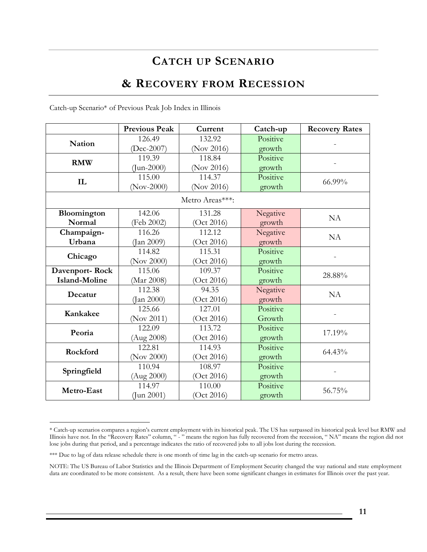## **CATCH UP SCENARIO**

## **& RECOVERY FROM RECESSION**

| Catch-up Scenario* of Previous Peak Job Index in Illinois |  |  |  |
|-----------------------------------------------------------|--|--|--|
|-----------------------------------------------------------|--|--|--|

|                | <b>Previous Peak</b> | Current         | Catch-up | <b>Recovery Rates</b> |  |
|----------------|----------------------|-----------------|----------|-----------------------|--|
| <b>Nation</b>  | 126.49               | 132.92          | Positive |                       |  |
|                | $(Dec-2007)$         | (Nov 2016)      | growth   |                       |  |
|                | 119.39               | 118.84          | Positive |                       |  |
| <b>RMW</b>     | $\text{Jun-2000}$    | (Nov 2016)      | growth   |                       |  |
| IL             | 115.00               | 114.37          | Positive | 66.99%                |  |
|                | $(Nov-2000)$         | (Nov 2016)      | growth   |                       |  |
|                |                      | Metro Areas***: |          |                       |  |
| Bloomington    | 142.06               | 131.28          | Negative | <b>NA</b>             |  |
| Normal         | (Feb 2002)           | (Oct 2016)      | growth   |                       |  |
| Champaign-     | 116.26               | 112.12          | Negative | <b>NA</b>             |  |
| Urbana         | Jan 2009)            | (Oct 2016)      | growth   |                       |  |
| Chicago        | 114.82               | 115.31          | Positive | $\mathbf{r}$          |  |
|                | (Nov 2000)           | (Oct 2016)      | growth   |                       |  |
| Davenport-Rock | 115.06               | 109.37          | Positive | 28.88%                |  |
| Island-Moline  | (Mar 2008)           | (Oct 2016)      | growth   |                       |  |
| Decatur        | 112.38               | 94.35           | Negative | <b>NA</b>             |  |
|                | $($ Jan 2000 $)$     | (Oct 2016)      | growth   |                       |  |
| Kankakee       | 125.66               | 127.01          | Positive |                       |  |
|                | (Nov 2011)           | (Oct 2016)      | Growth   |                       |  |
| Peoria         | 122.09               | 113.72          | Positive | 17.19%                |  |
|                | (Aug 2008)           | (Oct 2016)      | growth   |                       |  |
| Rockford       | 122.81               | 114.93          | Positive | 64.43%                |  |
|                | (Nov 2000)           | (Oct 2016)      | growth   |                       |  |
| Springfield    | 110.94               | 108.97          | Positive |                       |  |
|                | (Aug 2000)           | (Oct 2016)      | growth   |                       |  |
| Metro-East     | 114.97               | 110.00          | Positive | 56.75%                |  |
|                | $($ Jun 2001)        | (Oct 2016)      | growth   |                       |  |

<sup>\*</sup> Catch-up scenarios compares a region's current employment with its historical peak. The US has surpassed its historical peak level but RMW and Illinois have not. In the "Recovery Rates" column, " - " means the region has fully recovered from the recession, " NA" means the region did not lose jobs during that period, and a percentage indicates the ratio of recovered jobs to all jobs lost during the recession.

 $\overline{a}$ 

<sup>\*\*\*</sup> Due to lag of data release schedule there is one month of time lag in the catch-up scenario for metro areas.

NOTE: The US Bureau of Labor Statistics and the Illinois Department of Employment Security changed the way national and state employment data are coordinated to be more consistent. As a result, there have been some significant changes in estimates for Illinois over the past year.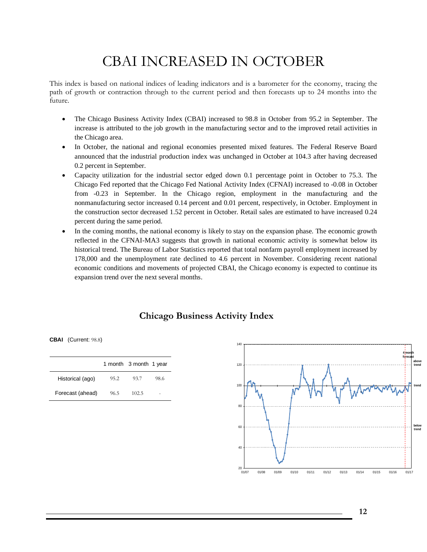## CBAI INCREASED IN OCTOBER

This index is based on national indices of leading indicators and is a barometer for the economy, tracing the path of growth or contraction through to the current period and then forecasts up to 24 months into the future.

- The Chicago Business Activity Index (CBAI) increased to 98.8 in October from 95.2 in September. The increase is attributed to the job growth in the manufacturing sector and to the improved retail activities in the Chicago area.
- In October, the national and regional economies presented mixed features. The Federal Reserve Board announced that the industrial production index was unchanged in October at 104.3 after having decreased 0.2 percent in September.
- Capacity utilization for the industrial sector edged down 0.1 percentage point in October to 75.3. The Chicago Fed reported that the Chicago Fed National Activity Index (CFNAI) increased to -0.08 in October from -0.23 in September. In the Chicago region, employment in the manufacturing and the nonmanufacturing sector increased 0.14 percent and 0.01 percent, respectively, in October. Employment in the construction sector decreased 1.52 percent in October. Retail sales are estimated to have increased 0.24 percent during the same period.
- In the coming months, the national economy is likely to stay on the expansion phase. The economic growth reflected in the CFNAI-MA3 suggests that growth in national economic activity is somewhat below its historical trend. The Bureau of Labor Statistics reported that total nonfarm payroll employment increased by 178,000 and the unemployment rate declined to 4.6 percent in November. Considering recent national economic conditions and movements of projected CBAI, the Chicago economy is expected to continue its expansion trend over the next several months.

### **Chicago Business Activity Index**

**CBAI** (Current: 98.8)

|                  |      | 1 month 3 month 1 year |      |
|------------------|------|------------------------|------|
| Historical (ago) | 95.2 | 93.7                   | 98.6 |
| Forecast (ahead) | 96.5 | 102.5                  | ۰    |

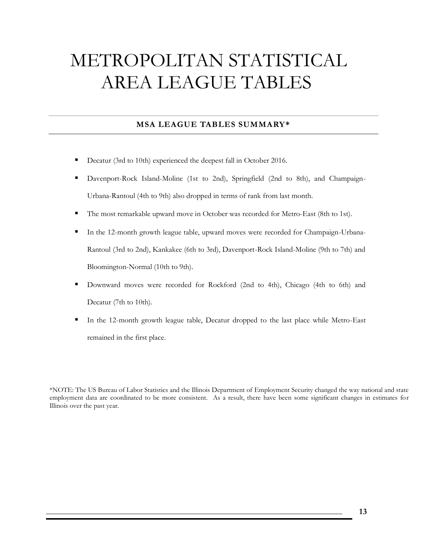## METROPOLITAN STATISTICAL AREA LEAGUE TABLES

### **MSA LEAGUE TABLES SUMMARY\***

- Decatur (3rd to 10th) experienced the deepest fall in October 2016.
- Davenport-Rock Island-Moline (1st to 2nd), Springfield (2nd to 8th), and Champaign-Urbana-Rantoul (4th to 9th) also dropped in terms of rank from last month.
- The most remarkable upward move in October was recorded for Metro-East (8th to 1st).
- In the 12-month growth league table, upward moves were recorded for Champaign-Urbana-Rantoul (3rd to 2nd), Kankakee (6th to 3rd), Davenport-Rock Island-Moline (9th to 7th) and Bloomington-Normal (10th to 9th).
- Downward moves were recorded for Rockford (2nd to 4th), Chicago (4th to 6th) and Decatur (7th to 10th).
- In the 12-month growth league table, Decatur dropped to the last place while Metro-East remained in the first place.

\*NOTE: The US Bureau of Labor Statistics and the Illinois Department of Employment Security changed the way national and state employment data are coordinated to be more consistent. As a result, there have been some significant changes in estimates for Illinois over the past year.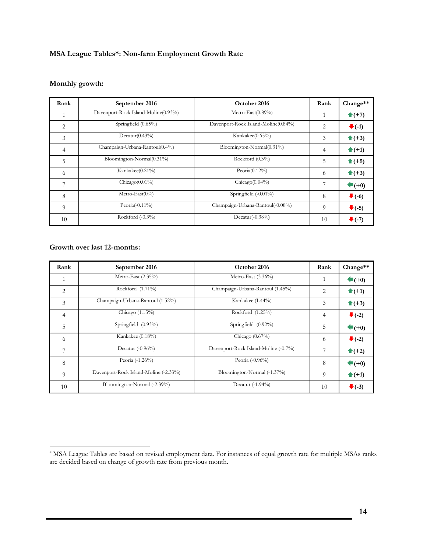#### **MSA League Tables\*: Non-farm Employment Growth Rate**

### **Monthly growth:**

| Rank           | September 2016                      | October 2016                        | Rank           | Change**                   |
|----------------|-------------------------------------|-------------------------------------|----------------|----------------------------|
|                | Davenport-Rock Island-Moline(0.93%) | Metro-East $(0.89\%)$               |                | $\triangleq$ (+7)          |
| $\overline{2}$ | Springfield (0.65%)                 | Davenport-Rock Island-Moline(0.84%) | 2              | $\blacktriangleright$ (-1) |
| 3              | $Decatur(0.43\%)$                   | Kankakee(0.65%)                     | 3              | $\triangleq$ (+3)          |
| $\overline{4}$ | Champaign-Urbana-Rantoul(0.4%)      | Bloomington-Normal(0.31%)           | $\overline{4}$ | $\triangleq$ (+1)          |
| 5              | Bloomington-Normal(0.31%)           | Rockford $(0.3\%)$                  | 5              | $\hat{\mathbf{t}}$ (+5)    |
| 6              | Kankakee(0.21%)                     | Peoria $(0.12\%)$                   | 6              | $\hat{\mathbf{T}}$ (+3)    |
| 7              | Chicago $(0.01\%)$                  | $Chicago(0.04\%)$                   |                | $\bigstar$ (+0)            |
| 8              | Metro-East $(0\%)$                  | Springfield (-0.01%)                | 8              | $\blacktriangleright$ (-6) |
| $\overline{Q}$ | Peoria $(-0.11\%)$                  | Champaign-Urbana-Rantoul(-0.08%)    | 9              | $\bullet$ (-5)             |
| 10             | Rockford $(-0.3\%)$                 | Decatur $(-0.38\%)$                 | 10             | $\blacktriangleright$ (-7) |

#### **Growth over last 12-months:**

 $\overline{a}$ 

| Rank           | September 2016                        | October 2016                         | Rank           | Change**                   |
|----------------|---------------------------------------|--------------------------------------|----------------|----------------------------|
| 1              | Metro-East $(2.35\%)$                 | Metro-East $(3.36\%)$                | 1              | $\bigstar$ (+0)            |
| 2              | Rockford $(1.71\%)$                   | Champaign-Urbana-Rantoul (1.45%)     | 2              | $\triangleq$ (+1)          |
| 3              | Champaign-Urbana-Rantoul (1.52%)      | Kankakee (1.44%)                     | 3              | $\hat{\mathbf{t}}$ (+3)    |
| $\overline{4}$ | Chicago $(1.15\%)$                    | Rockford (1.25%)                     | 4              | $\blacktriangleright$ (-2) |
| 5              | Springfield (0.93%)                   | Springfield $(0.92\%)$               | 5              | $\blacklozenge$ (+0)       |
| 6              | Kankakee (0.18%)                      | Chicago $(0.67\%)$                   | 6              | $\blacktriangleright$ (-2) |
| 7              | Decatur $(-0.96\%)$                   | Davenport-Rock Island-Moline (-0.7%) | 7              | $\triangleq$ (+2)          |
| 8              | Peoria (-1.26%)                       | Peoria (-0.96%)                      | 8              | $\blacklozenge$ (+0)       |
| 9              | Davenport-Rock Island-Moline (-2.33%) | Bloomington-Normal (-1.37%)          | $\overline{Q}$ | $\triangleq$ (+1)          |
| 10             | Bloomington-Normal (-2.39%)           | Decatur $(-1.94\%)$                  | 10             | $\blacktriangleright$ (-3) |

<sup>\*</sup> MSA League Tables are based on revised employment data. For instances of equal growth rate for multiple MSAs ranks are decided based on change of growth rate from previous month.